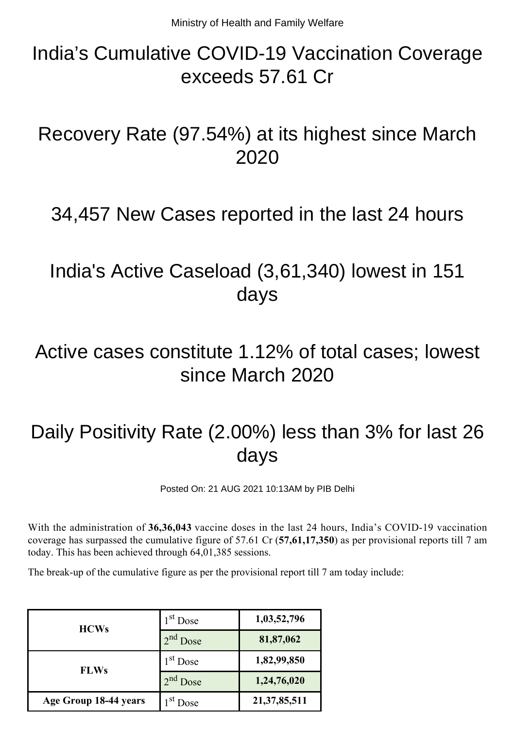## India's Cumulative COVID-19 Vaccination Coverage exceeds 57.61 Cr

#### Recovery Rate (97.54%) at its highest since March 2020

#### 34,457 New Cases reported in the last 24 hours

### India's Active Caseload (3,61,340) lowest in 151 days

#### Active cases constitute 1.12% of total cases; lowest since March 2020

# Daily Positivity Rate (2.00%) less than 3% for last 26 days

Posted On: 21 AUG 2021 10:13AM by PIB Delhi

With the administration of **36,36,043** vaccine doses in the last 24 hours, India's COVID-19 vaccination coverage has surpassed the cumulative figure of 57.61 Cr (**57,61,17,350**) as per provisional reports till 7 am today. This has been achieved through 64,01,385 sessions.

The break-up of the cumulative figure as per the provisional report till 7 am today include:

| <b>HCWs</b>           | $1st$ Dose | 1,03,52,796     |
|-----------------------|------------|-----------------|
|                       | $2nd$ Dose | 81,87,062       |
| <b>FLWs</b>           | $1st$ Dose | 1,82,99,850     |
|                       | $2nd$ Dose | 1,24,76,020     |
| Age Group 18-44 years | $Ist$ Dose | 21, 37, 85, 511 |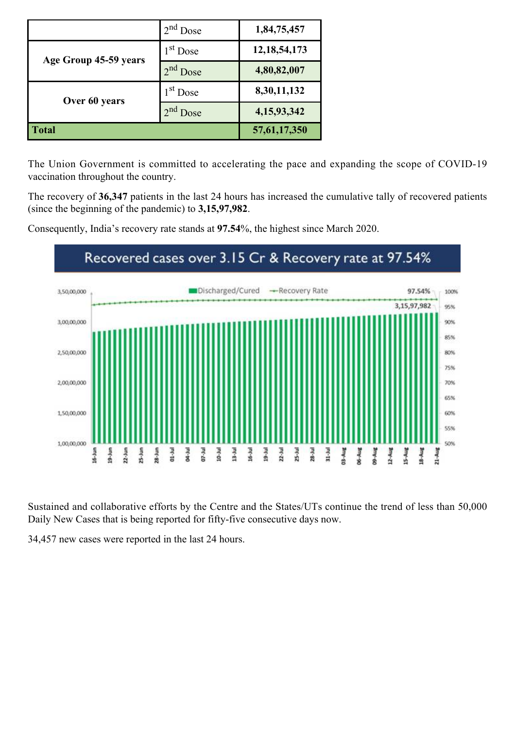|                       | $2nd$ Dose           | 1,84,75,457     |
|-----------------------|----------------------|-----------------|
| Age Group 45-59 years | $1st$ Dose           | 12, 18, 54, 173 |
|                       | 2 <sup>nd</sup> Dose | 4,80,82,007     |
| Over 60 years         | $1st$ Dose           | 8,30,11,132     |
|                       | $2nd$ Dose           | 4,15,93,342     |
| <b>Total</b>          |                      | 57, 61, 17, 350 |

The Union Government is committed to accelerating the pace and expanding the scope of COVID-19 vaccination throughout the country.

The recovery of **36,347** patients in the last 24 hours has increased the cumulative tally of recovered patients (since the beginning of the pandemic) to **3,15,97,982**.

Consequently, India's recovery rate stands at **97.54**%, the highest since March 2020.



Sustained and collaborative efforts by the Centre and the States/UTs continue the trend of less than 50,000 Daily New Cases that is being reported for fifty-five consecutive days now.

34,457 new cases were reported in the last 24 hours.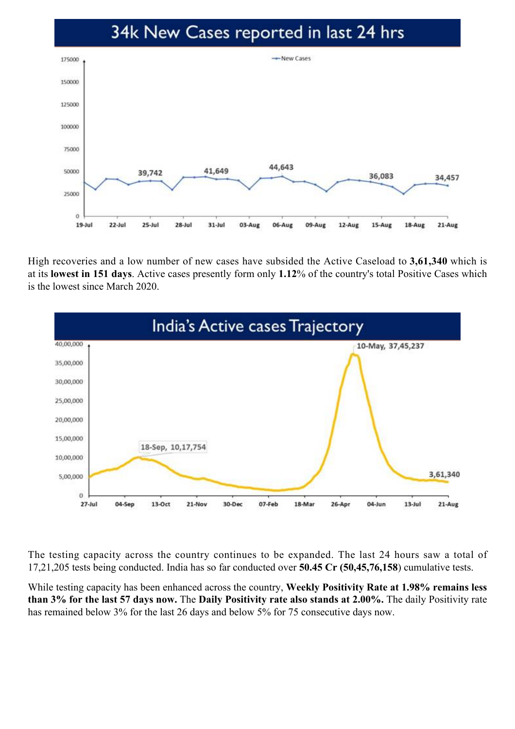#### 34k New Cases reported in last 24 hrs



High recoveries and a low number of new cases have subsided the Active Caseload to **3,61,340** which is at its **lowest in 151 days**. Active cases presently form only **1.12**% of the country's total Positive Cases which is the lowest since March 2020.



The testing capacity across the country continues to be expanded. The last 24 hours saw a total of 17,21,205 tests being conducted. India has so far conducted over **50.45 Cr (50,45,76,158**) cumulative tests.

While testing capacity has been enhanced across the country, **Weekly Positivity Rate at 1.98% remains less than 3% for the last 57 days now.** The **Daily Positivity rate also stands at 2.00%.** The daily Positivity rate has remained below 3% for the last 26 days and below 5% for 75 consecutive days now.